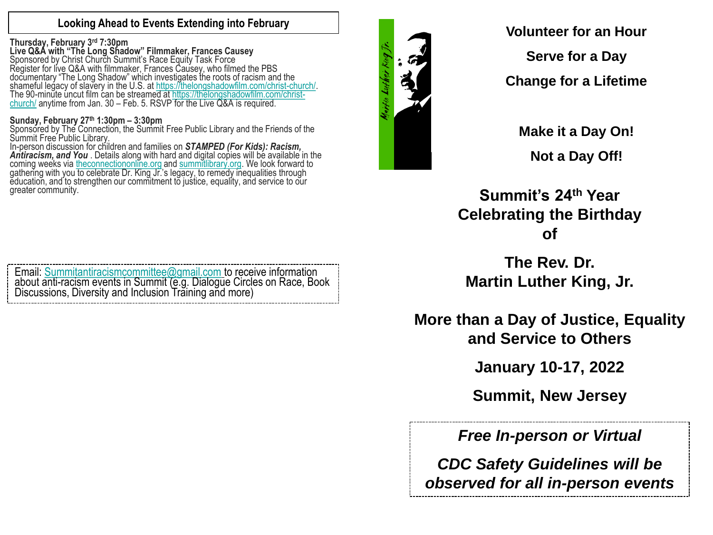# **Looking Ahead to Events Extending into February**

## **Thursday, February 3rd 7:30pm**

**Live Q&A with "The Long Shadow" Filmmaker, Frances Causey** Sponsored by Christ Church Summit's Race Equity Task Force Register for live Q&A with filmmaker, Frances Causey, who filmed the PBS documentary "The Long Shadow" which investigates the roots of racism and the shameful legacy of slavery in the U.S. at <https://thelongshadowfilm.com/christ-church/>. [The 90-minute uncut film can be streamed at https://thelongshadowfilm.com/christ](https://thelongshadowfilm.com/christ-church/)church/ anytime from Jan. 30 – Feb. 5. RSVP for the Live Q&A is required.

## **Sunday, February 27th 1:30pm – 3:30pm**

Sponsored by The Connection, the Summit Free Public Library and the Friends of the Summit Free Public Library.

In-person discussion for children and families on *STAMPED (For Kids): Racism,*  Antiracism, and You . Details along with hard and digital copies will be available in the coming weeks via [theconnectiononline.org](http://theconnectiononline.org/) and [summitlibrary.org.](http://summitlibrary.org/) We look forward to gathering with you to celebrate Dr. King Jr.'s legacy, to remedy inequalities through education, and to strengthen our commitment to justice, equality, and service to our greater community.

Email: [Summitantiracismcommittee@gmail.com](mailto:Summitantiracismcommittee@gmail.com) to receive information about anti-racism events in Summit (e.g. Dialogue Circles on Race, Book Discussions, Diversity and Inclusion Training and more)



**Volunteer for an Hour Serve for a Day**

**Change for a Lifetime**

**Make it a Day On! Not a Day Off!**

**Summit's 24th Year Celebrating the Birthday of**

**The Rev. Dr. Martin Luther King, Jr.**

**More than a Day of Justice, Equality and Service to Others**

**January 10-17, 2022**

**Summit, New Jersey**

*Free In-person or Virtual*

*CDC Safety Guidelines will be observed for all in-person events*